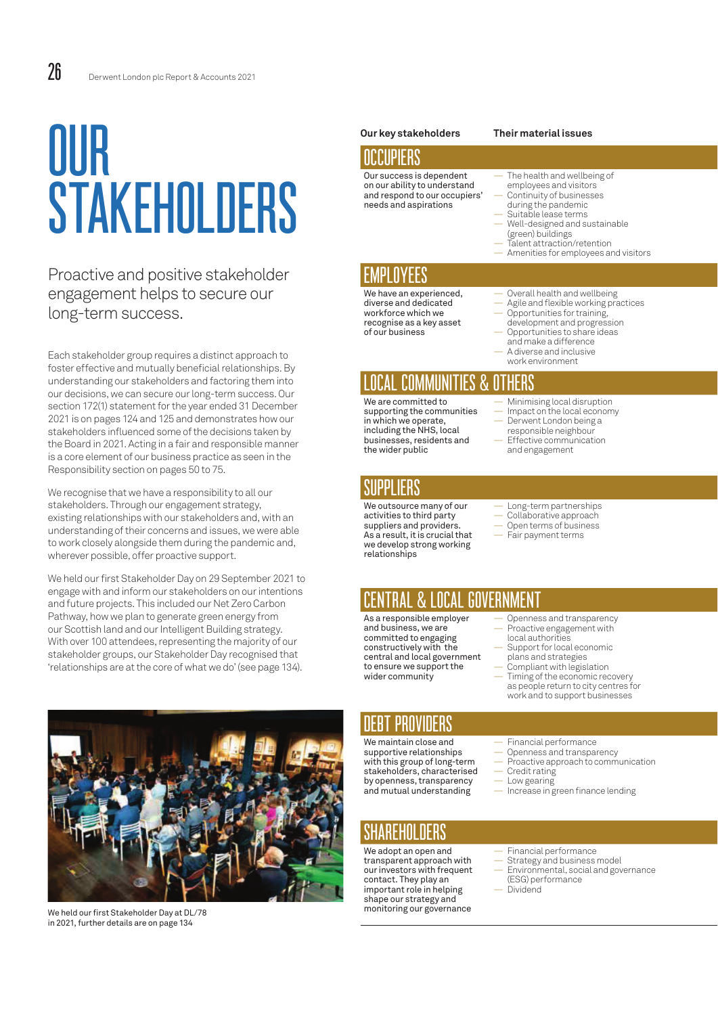# OUR STAKEHOLDERS

#### Proactive and positive stakeholder engagement helps to secure our long-term success.

Each stakeholder group requires a distinct approach to foster effective and mutually beneficial relationships. By understanding our stakeholders and factoring them into our decisions, we can secure our long-term success. Our section 172(1) statement for the year ended 31 December 2021 is on pages 124 and 125 and demonstrates how our stakeholders influenced some of the decisions taken by the Board in 2021. Acting in a fair and responsible manner is a core element of our business practice as seen in the Responsibility section on pages 50 to 75.

We recognise that we have a responsibility to all our stakeholders. Through our engagement strategy, existing relationships with our stakeholders and, with an understanding of their concerns and issues, we were able to work closely alongside them during the pandemic and, wherever possible, offer proactive support.

We held our first Stakeholder Day on 29 September 2021 to engage with and inform our stakeholders on our intentions and future projects. This included our Net Zero Carbon Pathway, how we plan to generate green energy from our Scottish land and our Intelligent Building strategy. With over 100 attendees, representing the majority of our stakeholder groups, our Stakeholder Day recognised that 'relationships are at the core of what we do' (see page 134).



We held our first Stakeholder Day at DL/78 in 2021, further details are on page 134

#### **Our key stakeholders Their material issues**

#### OCCUPIERS Our success is dependent

on our ability to understand and respond to our occupiers' needs and aspirations

#### The health and wellbeing of employees and visitors

- Continuity of businesses during the pandemic
- Suitable lease terms
	- Well-designed and sustainable (green) buildings
- Talent attraction/retention — Amenities for employees and visitors
- 

# EMPLOYEES

We have an experienced, diverse and dedicated workforce which we recognise as a key asset of our business

- Overall health and wellbeing
- Agile and flexible working practices
- Opportunities for training, development and progression — Opportunities to share ideas
- and make a difference
- A diverse and inclusive work environment

## LOCAL COMMUNITIES & OTHERS

We are committed to supporting the communities in which we operate, including the NHS, local businesses, residents and the wider public

#### SUPPLIERS

We outsource many of our activities to third party suppliers and providers. As a result, it is crucial that we develop strong working relationships

- Minimising local disruption
- Impact on the local economy Derwent London being a
- responsible neighbour
- Effective communication and engagement
- Long-term partnerships
- Collaborative approach
- Open terms of business Fair payment terms

### CENTRAL & LOCAL GOVERNMENT

As a responsible employer and business, we are committed to engaging constructively with the central and local government to ensure we support the wider community

- Openness and transparency — Proactive engagement with
- local authorities Support for local economic
- plans and strategies Compliant with legislation
- Timing of the economic recovery as people return to city centres for work and to support businesses

#### DEBT PROVIDERS

We maintain close and supportive relationships with this group of long-term stakeholders, characterised by openness, transparency and mutual understanding

## SHAREHOLDERS

We adopt an open and transparent approach with our investors with frequent contact. They play an important role in helping shape our strategy and monitoring our governance

- Financial performance
- Openness and transparency — Proactive approach to communication
- Credit rating
- Low gearing
- Increase in green finance lending
- 
- Financial performance Strategy and business model
- Environmental, social and governance (ESG) performance
- Dividend